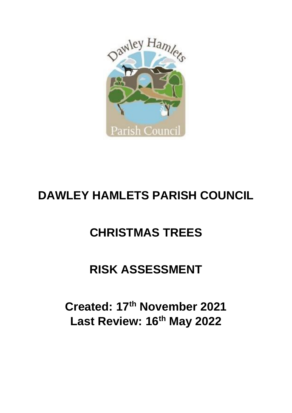

## **DAWLEY HAMLETS PARISH COUNCIL**

## **CHRISTMAS TREES**

## **RISK ASSESSMENT**

**Created: 17th November 2021 Last Review: 16th May 2022**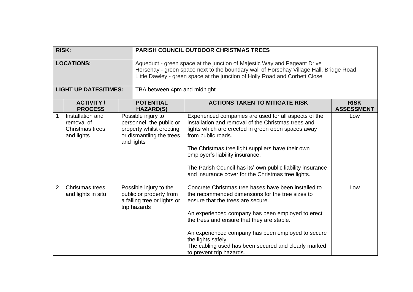| <b>RISK:</b>   |                                                                 |                                                                                                                      | <b>PARISH COUNCIL OUTDOOR CHRISTMAS TREES</b>                                                                                                                                                                                                                                                                                                                                                                    |                                  |  |
|----------------|-----------------------------------------------------------------|----------------------------------------------------------------------------------------------------------------------|------------------------------------------------------------------------------------------------------------------------------------------------------------------------------------------------------------------------------------------------------------------------------------------------------------------------------------------------------------------------------------------------------------------|----------------------------------|--|
|                |                                                                 |                                                                                                                      |                                                                                                                                                                                                                                                                                                                                                                                                                  |                                  |  |
|                | <b>LOCATIONS:</b>                                               |                                                                                                                      | Aqueduct - green space at the junction of Majestic Way and Pageant Drive<br>Horsehay - green space next to the boundary wall of Horsehay Village Hall, Bridge Road<br>Little Dawley - green space at the junction of Holly Road and Corbett Close                                                                                                                                                                |                                  |  |
|                | <b>LIGHT UP DATES/TIMES:</b>                                    |                                                                                                                      | TBA between 4pm and midnight                                                                                                                                                                                                                                                                                                                                                                                     |                                  |  |
|                | <b>ACTIVITY /</b><br><b>PROCESS</b>                             | <b>POTENTIAL</b><br><b>HAZARD(S)</b>                                                                                 | <b>ACTIONS TAKEN TO MITIGATE RISK</b>                                                                                                                                                                                                                                                                                                                                                                            | <b>RISK</b><br><b>ASSESSMENT</b> |  |
| 1              | Installation and<br>removal of<br>Christmas trees<br>and lights | Possible injury to<br>personnel, the public or<br>property whilst erecting<br>or dismantling the trees<br>and lights | Experienced companies are used for all aspects of the<br>installation and removal of the Christmas trees and<br>lights which are erected in green open spaces away<br>from public roads.<br>The Christmas tree light suppliers have their own<br>employer's liability insurance.<br>The Parish Council has its' own public liability insurance<br>and insurance cover for the Christmas tree lights.             | Low                              |  |
| $\overline{2}$ | Christmas trees<br>and lights in situ                           | Possible injury to the<br>public or property from<br>a falling tree or lights or<br>trip hazards                     | Concrete Christmas tree bases have been installed to<br>the recommended dimensions for the tree sizes to<br>ensure that the trees are secure.<br>An experienced company has been employed to erect<br>the trees and ensure that they are stable.<br>An experienced company has been employed to secure<br>the lights safely.<br>The cabling used has been secured and clearly marked<br>to prevent trip hazards. | Low                              |  |